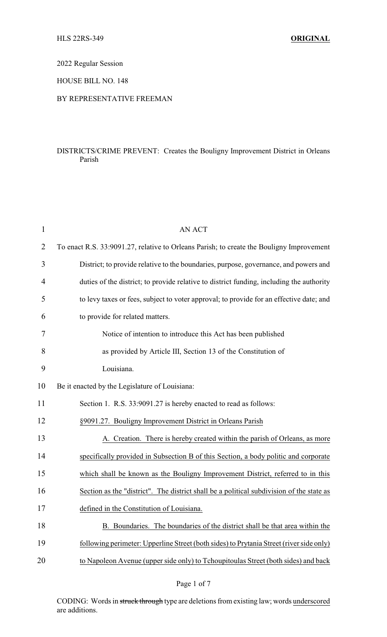2022 Regular Session

HOUSE BILL NO. 148

## BY REPRESENTATIVE FREEMAN

## DISTRICTS/CRIME PREVENT: Creates the Bouligny Improvement District in Orleans Parish

| $\mathbf{1}$ | <b>AN ACT</b>                                                                            |
|--------------|------------------------------------------------------------------------------------------|
| 2            | To enact R.S. 33:9091.27, relative to Orleans Parish; to create the Bouligny Improvement |
| 3            | District; to provide relative to the boundaries, purpose, governance, and powers and     |
| 4            | duties of the district; to provide relative to district funding, including the authority |
| 5            | to levy taxes or fees, subject to voter approval; to provide for an effective date; and  |
| 6            | to provide for related matters.                                                          |
| 7            | Notice of intention to introduce this Act has been published                             |
| 8            | as provided by Article III, Section 13 of the Constitution of                            |
| 9            | Louisiana.                                                                               |
| 10           | Be it enacted by the Legislature of Louisiana:                                           |
| 11           | Section 1. R.S. 33:9091.27 is hereby enacted to read as follows:                         |
| 12           | §9091.27. Bouligny Improvement District in Orleans Parish                                |
| 13           | A. Creation. There is hereby created within the parish of Orleans, as more               |
| 14           | specifically provided in Subsection B of this Section, a body politic and corporate      |
| 15           | which shall be known as the Bouligny Improvement District, referred to in this           |
| 16           | Section as the "district". The district shall be a political subdivision of the state as |
| 17           | defined in the Constitution of Louisiana.                                                |
| 18           | B. Boundaries. The boundaries of the district shall be that area within the              |
| 19           | following perimeter: Upperline Street (both sides) to Prytania Street (river side only)  |
| 20           | to Napoleon Avenue (upper side only) to Tchoupitoulas Street (both sides) and back       |
|              |                                                                                          |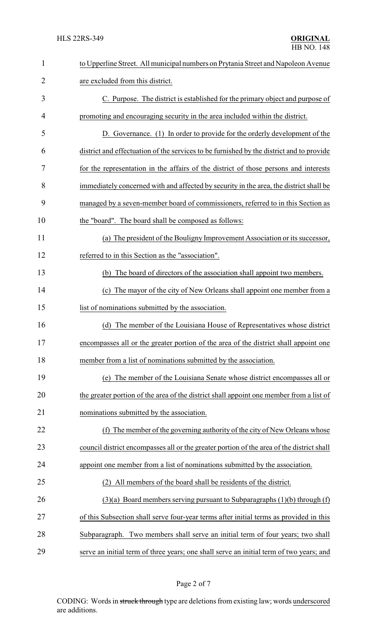| $\mathbf{1}$   | to Upperline Street. All municipal numbers on Prytania Street and Napoleon Avenue         |  |  |
|----------------|-------------------------------------------------------------------------------------------|--|--|
| $\overline{2}$ | are excluded from this district.                                                          |  |  |
| 3              | C. Purpose. The district is established for the primary object and purpose of             |  |  |
| 4              | promoting and encouraging security in the area included within the district.              |  |  |
| 5              | D. Governance. (1) In order to provide for the orderly development of the                 |  |  |
| 6              | district and effectuation of the services to be furnished by the district and to provide  |  |  |
| 7              | for the representation in the affairs of the district of those persons and interests      |  |  |
| 8              | immediately concerned with and affected by security in the area, the district shall be    |  |  |
| 9              | managed by a seven-member board of commissioners, referred to in this Section as          |  |  |
| 10             | the "board". The board shall be composed as follows:                                      |  |  |
| 11             | (a) The president of the Bouligny Improvement Association or its successor,               |  |  |
| 12             | referred to in this Section as the "association".                                         |  |  |
| 13             | (b) The board of directors of the association shall appoint two members.                  |  |  |
| 14             | (c) The mayor of the city of New Orleans shall appoint one member from a                  |  |  |
| 15             | list of nominations submitted by the association.                                         |  |  |
| 16             | The member of the Louisiana House of Representatives whose district<br>(d)                |  |  |
| 17             | encompasses all or the greater portion of the area of the district shall appoint one      |  |  |
| 18             | member from a list of nominations submitted by the association.                           |  |  |
| 19             | (e) The member of the Louisiana Senate whose district encompasses all or                  |  |  |
| 20             | the greater portion of the area of the district shall appoint one member from a list of   |  |  |
| 21             | nominations submitted by the association.                                                 |  |  |
| 22             | The member of the governing authority of the city of New Orleans whose<br>(f)             |  |  |
| 23             | council district encompasses all or the greater portion of the area of the district shall |  |  |
| 24             | appoint one member from a list of nominations submitted by the association.               |  |  |
| 25             | All members of the board shall be residents of the district.                              |  |  |
| 26             | $(3)(a)$ Board members serving pursuant to Subparagraphs $(1)(b)$ through $(f)$           |  |  |
| 27             | of this Subsection shall serve four-year terms after initial terms as provided in this    |  |  |
| 28             | Subparagraph. Two members shall serve an initial term of four years; two shall            |  |  |
| 29             | serve an initial term of three years; one shall serve an initial term of two years; and   |  |  |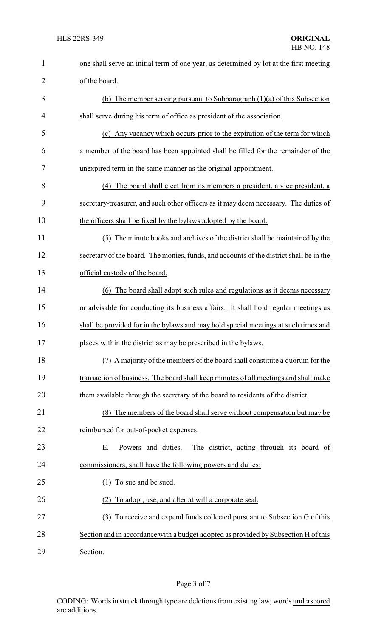| $\mathbf{1}$   | one shall serve an initial term of one year, as determined by lot at the first meeting  |  |  |
|----------------|-----------------------------------------------------------------------------------------|--|--|
| $\overline{2}$ | of the board.                                                                           |  |  |
| 3              | (b) The member serving pursuant to Subparagraph $(1)(a)$ of this Subsection             |  |  |
| 4              | shall serve during his term of office as president of the association.                  |  |  |
| 5              | (c) Any vacancy which occurs prior to the expiration of the term for which              |  |  |
| 6              | a member of the board has been appointed shall be filled for the remainder of the       |  |  |
| 7              | unexpired term in the same manner as the original appointment.                          |  |  |
| 8              | The board shall elect from its members a president, a vice president, a<br>(4)          |  |  |
| 9              | secretary-treasurer, and such other officers as it may deem necessary. The duties of    |  |  |
| 10             | the officers shall be fixed by the bylaws adopted by the board.                         |  |  |
| 11             | (5) The minute books and archives of the district shall be maintained by the            |  |  |
| 12             | secretary of the board. The monies, funds, and accounts of the district shall be in the |  |  |
| 13             | official custody of the board.                                                          |  |  |
| 14             | (6) The board shall adopt such rules and regulations as it deems necessary              |  |  |
| 15             | or advisable for conducting its business affairs. It shall hold regular meetings as     |  |  |
| 16             | shall be provided for in the bylaws and may hold special meetings at such times and     |  |  |
| 17             | places within the district as may be prescribed in the bylaws.                          |  |  |
| 18             | A majority of the members of the board shall constitute a quorum for the                |  |  |
| 19             | transaction of business. The board shall keep minutes of all meetings and shall make    |  |  |
| 20             | them available through the secretary of the board to residents of the district.         |  |  |
| 21             | (8) The members of the board shall serve without compensation but may be                |  |  |
| 22             | reimbursed for out-of-pocket expenses.                                                  |  |  |
| 23             | Powers and duties.<br>The district, acting through its board of<br>Е.                   |  |  |
| 24             | commissioners, shall have the following powers and duties:                              |  |  |
| 25             | To sue and be sued.<br>(1)                                                              |  |  |
| 26             | To adopt, use, and alter at will a corporate seal.                                      |  |  |
| 27             | To receive and expend funds collected pursuant to Subsection G of this<br>(3)           |  |  |
| 28             | Section and in accordance with a budget adopted as provided by Subsection H of this     |  |  |
| 29             | Section.                                                                                |  |  |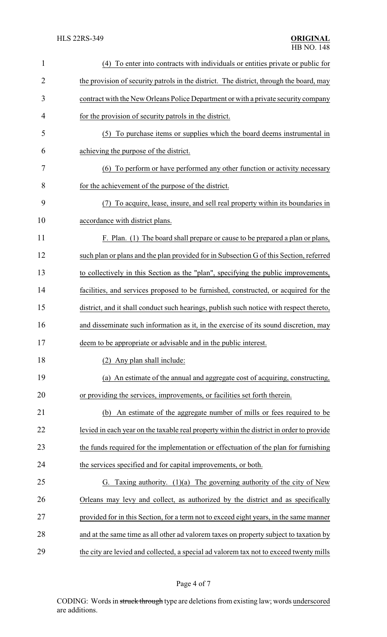| $\mathbf{1}$   | (4) To enter into contracts with individuals or entities private or public for           |  |  |
|----------------|------------------------------------------------------------------------------------------|--|--|
| $\overline{2}$ | the provision of security patrols in the district. The district, through the board, may  |  |  |
| 3              | contract with the New Orleans Police Department or with a private security company       |  |  |
| 4              | for the provision of security patrols in the district.                                   |  |  |
| 5              | (5) To purchase items or supplies which the board deems instrumental in                  |  |  |
| 6              | achieving the purpose of the district.                                                   |  |  |
| 7              | (6) To perform or have performed any other function or activity necessary                |  |  |
| 8              | for the achievement of the purpose of the district.                                      |  |  |
| 9              | To acquire, lease, insure, and sell real property within its boundaries in<br>(7)        |  |  |
| 10             | accordance with district plans.                                                          |  |  |
| 11             | F. Plan. (1) The board shall prepare or cause to be prepared a plan or plans,            |  |  |
| 12             | such plan or plans and the plan provided for in Subsection G of this Section, referred   |  |  |
| 13             | to collectively in this Section as the "plan", specifying the public improvements,       |  |  |
| 14             | facilities, and services proposed to be furnished, constructed, or acquired for the      |  |  |
| 15             | district, and it shall conduct such hearings, publish such notice with respect thereto,  |  |  |
| 16             | and disseminate such information as it, in the exercise of its sound discretion, may     |  |  |
| 17             | deem to be appropriate or advisable and in the public interest.                          |  |  |
| 18             | (2) Any plan shall include:                                                              |  |  |
| 19             | (a) An estimate of the annual and aggregate cost of acquiring, constructing,             |  |  |
| 20             | or providing the services, improvements, or facilities set forth therein.                |  |  |
| 21             | An estimate of the aggregate number of mills or fees required to be<br>(b)               |  |  |
| 22             | levied in each year on the taxable real property within the district in order to provide |  |  |
| 23             | the funds required for the implementation or effectuation of the plan for furnishing     |  |  |
| 24             | the services specified and for capital improvements, or both.                            |  |  |
| 25             | Taxing authority. $(1)(a)$ The governing authority of the city of New<br>G.              |  |  |
| 26             | Orleans may levy and collect, as authorized by the district and as specifically          |  |  |
| 27             | provided for in this Section, for a term not to exceed eight years, in the same manner   |  |  |
| 28             | and at the same time as all other ad valorem taxes on property subject to taxation by    |  |  |
| 29             | the city are levied and collected, a special ad valorem tax not to exceed twenty mills   |  |  |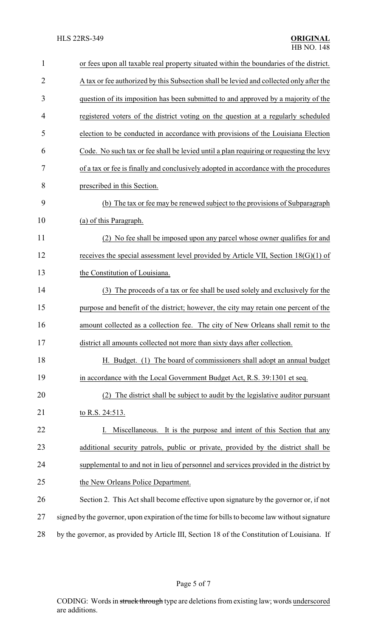| $\mathbf{1}$   | or fees upon all taxable real property situated within the boundaries of the district.        |
|----------------|-----------------------------------------------------------------------------------------------|
| $\overline{2}$ | A tax or fee authorized by this Subsection shall be levied and collected only after the       |
| 3              | question of its imposition has been submitted to and approved by a majority of the            |
| $\overline{4}$ | registered voters of the district voting on the question at a regularly scheduled             |
| 5              | election to be conducted in accordance with provisions of the Louisiana Election              |
| 6              | Code. No such tax or fee shall be levied until a plan requiring or requesting the levy        |
| 7              | of a tax or fee is finally and conclusively adopted in accordance with the procedures         |
| 8              | prescribed in this Section.                                                                   |
| 9              | (b) The tax or fee may be renewed subject to the provisions of Subparagraph                   |
| 10             | (a) of this Paragraph.                                                                        |
| 11             | (2) No fee shall be imposed upon any parcel whose owner qualifies for and                     |
| 12             | receives the special assessment level provided by Article VII, Section $18(G)(1)$ of          |
| 13             | the Constitution of Louisiana.                                                                |
| 14             | (3) The proceeds of a tax or fee shall be used solely and exclusively for the                 |
| 15             | purpose and benefit of the district; however, the city may retain one percent of the          |
| 16             | amount collected as a collection fee. The city of New Orleans shall remit to the              |
| 17             | district all amounts collected not more than sixty days after collection.                     |
| 18             | H. Budget. (1) The board of commissioners shall adopt an annual budget                        |
| 19             | in accordance with the Local Government Budget Act, R.S. 39:1301 et seq.                      |
| 20             | The district shall be subject to audit by the legislative auditor pursuant<br>(2)             |
| 21             | to R.S. 24:513.                                                                               |
| 22             | Miscellaneous. It is the purpose and intent of this Section that any                          |
| 23             | additional security patrols, public or private, provided by the district shall be             |
| 24             | supplemental to and not in lieu of personnel and services provided in the district by         |
| 25             | the New Orleans Police Department.                                                            |
| 26             | Section 2. This Act shall become effective upon signature by the governor or, if not          |
| 27             | signed by the governor, upon expiration of the time for bills to become law without signature |
| 28             | by the governor, as provided by Article III, Section 18 of the Constitution of Louisiana. If  |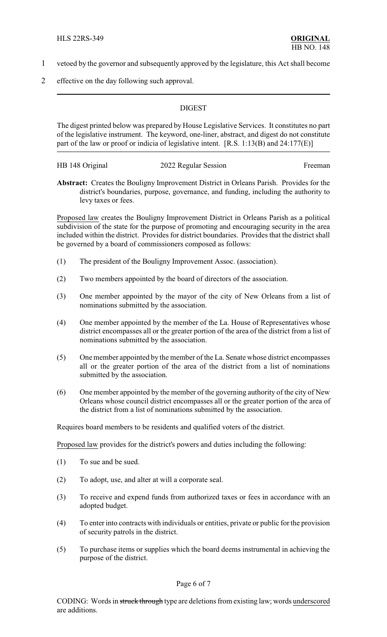- 1 vetoed by the governor and subsequently approved by the legislature, this Act shall become
- 2 effective on the day following such approval.

## **DIGEST**

The digest printed below was prepared by House Legislative Services. It constitutes no part of the legislative instrument. The keyword, one-liner, abstract, and digest do not constitute part of the law or proof or indicia of legislative intent. [R.S. 1:13(B) and 24:177(E)]

| HB 148 Original | 2022 Regular Session | Freeman |
|-----------------|----------------------|---------|
|                 |                      |         |

**Abstract:** Creates the Bouligny Improvement District in Orleans Parish. Provides for the district's boundaries, purpose, governance, and funding, including the authority to levy taxes or fees.

Proposed law creates the Bouligny Improvement District in Orleans Parish as a political subdivision of the state for the purpose of promoting and encouraging security in the area included within the district. Provides for district boundaries. Provides that the district shall be governed by a board of commissioners composed as follows:

- (1) The president of the Bouligny Improvement Assoc. (association).
- (2) Two members appointed by the board of directors of the association.
- (3) One member appointed by the mayor of the city of New Orleans from a list of nominations submitted by the association.
- (4) One member appointed by the member of the La. House of Representatives whose district encompasses all or the greater portion of the area of the district from a list of nominations submitted by the association.
- (5) One member appointed by the member of the La. Senate whose district encompasses all or the greater portion of the area of the district from a list of nominations submitted by the association.
- (6) One member appointed by the member of the governing authority of the city of New Orleans whose council district encompasses all or the greater portion of the area of the district from a list of nominations submitted by the association.

Requires board members to be residents and qualified voters of the district.

Proposed law provides for the district's powers and duties including the following:

- (1) To sue and be sued.
- (2) To adopt, use, and alter at will a corporate seal.
- (3) To receive and expend funds from authorized taxes or fees in accordance with an adopted budget.
- (4) To enter into contracts with individuals or entities, private or public for the provision of security patrols in the district.
- (5) To purchase items or supplies which the board deems instrumental in achieving the purpose of the district.

Page 6 of 7